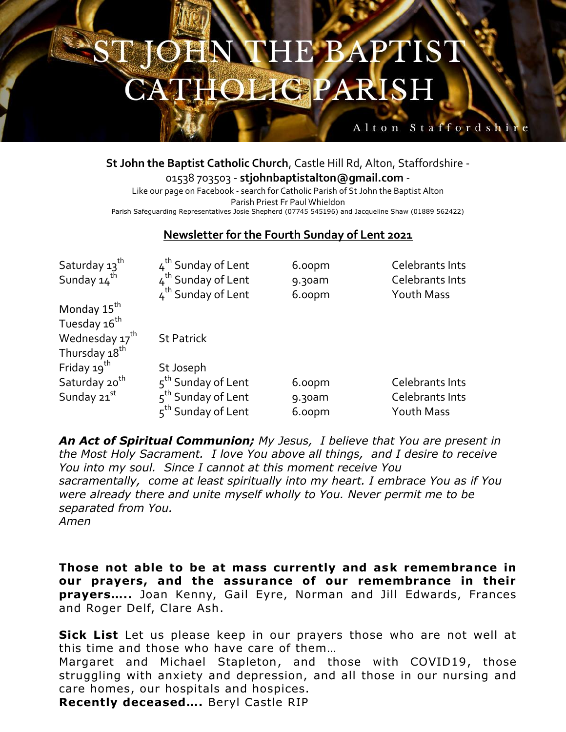## **DHN THE BAPTIST HOLIGPARISH**

## Alton Staffordshir

**St John the Baptist Catholic Church**, Castle Hill Rd, Alton, Staffordshire -

01538 703503 - **stjohnbaptistalton@gmail.com** - Like our page on Facebook - search for Catholic Parish of St John the Baptist Alton Parish Priest Fr Paul Whieldon Parish Safeguarding Representatives Josie Shepherd (07745 545196) and Jacqueline Shaw (01889 562422)

## **Newsletter for the Fourth Sunday of Lent 2021**

| Saturday 13 <sup>th</sup>  | 4 <sup>th</sup> Sunday of Lent | 6.00pm | Celebrants Ints        |
|----------------------------|--------------------------------|--------|------------------------|
| Sunday 14 <sup>th</sup>    | 4 <sup>th</sup> Sunday of Lent | 9.30am | Celebrants Ints        |
|                            | 4 <sup>th</sup> Sunday of Lent | 6.00pm | Youth Mass             |
| Monday 15 <sup>th</sup>    |                                |        |                        |
| Tuesday 16 <sup>th</sup>   |                                |        |                        |
| Wednesday 17 <sup>th</sup> | <b>St Patrick</b>              |        |                        |
| Thursday 18 <sup>th</sup>  |                                |        |                        |
| Friday 19 <sup>th</sup>    | St Joseph                      |        |                        |
| Saturday 20 <sup>th</sup>  | 5 <sup>th</sup> Sunday of Lent | 6.00pm | Celebrants Ints        |
| Sunday 21st                | 5 <sup>th</sup> Sunday of Lent | 9.30am | <b>Celebrants Ints</b> |
|                            | 5 <sup>th</sup> Sunday of Lent | 6.00pm | Youth Mass             |

*An Act of Spiritual Communion; My Jesus, I believe that You are present in the Most Holy Sacrament. I love You above all things, and I desire to receive You into my soul. Since I cannot at this moment receive You sacramentally, come at least spiritually into my heart. I embrace You as if You were already there and unite myself wholly to You. Never permit me to be separated from You. Amen*

**Those not able to be at mass currently and ask remembrance in our prayers, and the assurance of our remembrance in their prayers…..** Joan Kenny, Gail Eyre, Norman and Jill Edwards, Frances and Roger Delf, Clare Ash.

**Sick List** Let us please keep in our prayers those who are not well at this time and those who have care of them…

Margaret and Michael Stapleton, and those with COVID19, those struggling with anxiety and depression, and all those in our nursing and care homes, our hospitals and hospices.

**Recently deceased….** Beryl Castle RIP